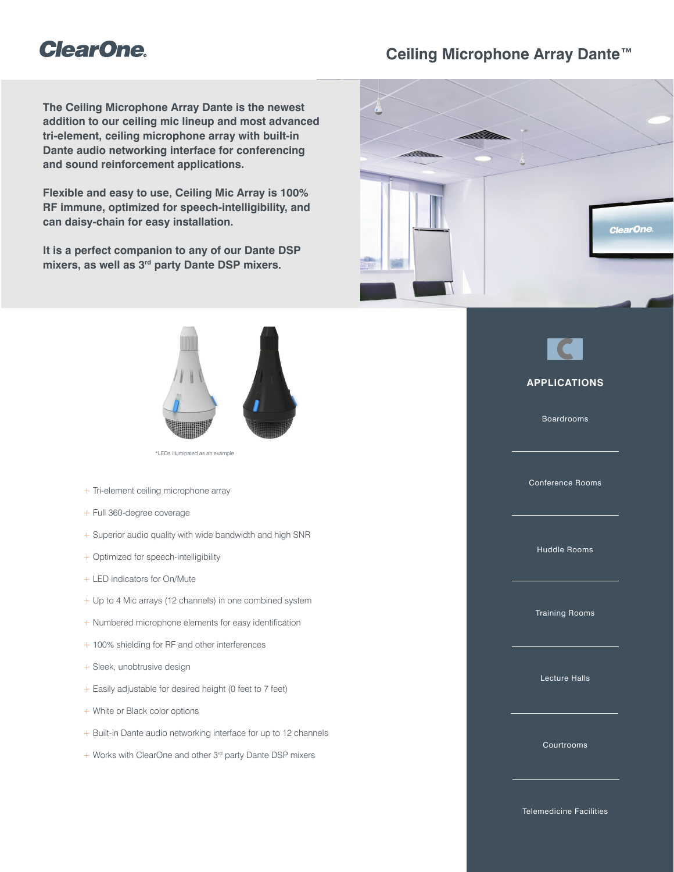# **ClearOne**

# **Ceiling Microphone Array Dante™**

**The Ceiling Microphone Array Dante is the newest addition to our ceiling mic lineup and most advanced tri-element, ceiling microphone array with built-in Dante audio networking interface for conferencing and sound reinforcement applications.**

**Flexible and easy to use, Ceiling Mic Array is 100% RF immune, optimized for speech-intelligibility, and can daisy-chain for easy installation.**

**It is a perfect companion to any of our Dante DSP mixers, as well as 3rd party Dante DSP mixers.**



\*LEDs illuminated as an example

- + Tri-element ceiling microphone array
- + Full 360-degree coverage
- + Superior audio quality with wide bandwidth and high SNR
- + Optimized for speech-intelligibility
- + LED indicators for On/Mute
- + Up to 4 Mic arrays (12 channels) in one combined system
- + Numbered microphone elements for easy identification
- + 100% shielding for RF and other interferences
- + Sleek, unobtrusive design
- + Easily adjustable for desired height (0 feet to 7 feet)
- + White or Black color options
- + Built-in Dante audio networking interface for up to 12 channels
- + Works with ClearOne and other 3rd party Dante DSP mixers





## **APPLICATIONS**

Boardrooms

Conference Rooms

Huddle Rooms

Training Rooms

Lecture Halls

Courtrooms

Telemedicine Facilities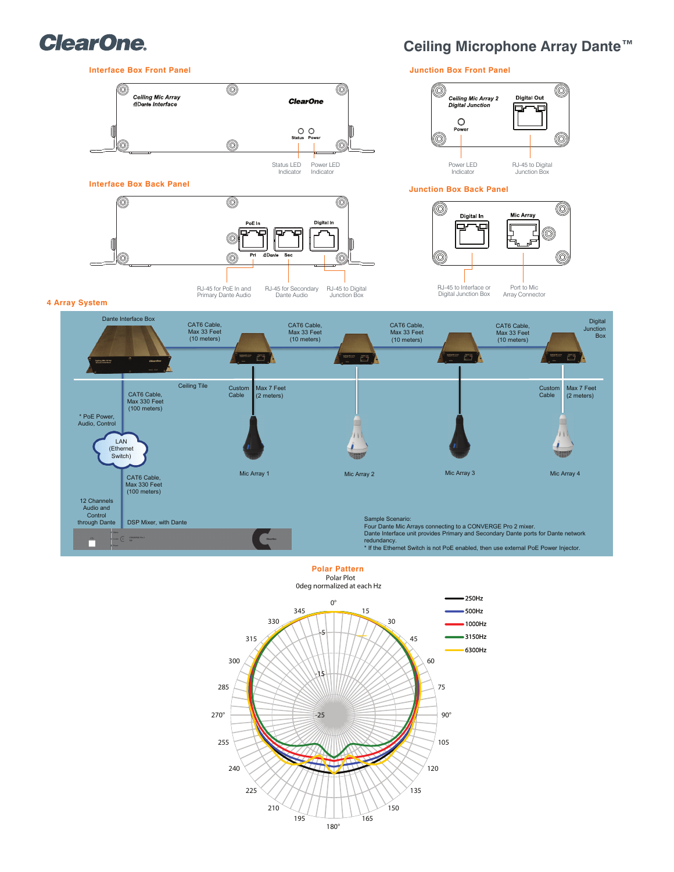

# **Ceiling Microphone Array Dante™**



## Polar Plot **Polar Pattern**